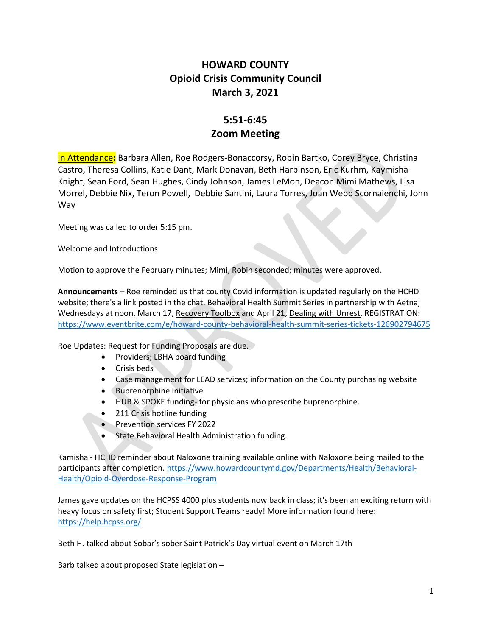## HOWARD COUNTY Opioid Crisis Community Council March 3, 2021

## 5:51-6:45 Zoom Meeting

In Attendance: Barbara Allen, Roe Rodgers-Bonaccorsy, Robin Bartko, Corey Bryce, Christina Castro, Theresa Collins, Katie Dant, Mark Donavan, Beth Harbinson, Eric Kurhm, Kaymisha Knight, Sean Ford, Sean Hughes, Cindy Johnson, James LeMon, Deacon Mimi Mathews, Lisa Morrel, Debbie Nix, Teron Powell, Debbie Santini, Laura Torres, Joan Webb Scornaienchi, John Way

Meeting was called to order 5:15 pm.

Welcome and Introductions

Motion to approve the February minutes; Mimi, Robin seconded; minutes were approved.

Announcements – Roe reminded us that county Covid information is updated regularly on the HCHD website; there's a link posted in the chat. Behavioral Health Summit Series in partnership with Aetna; Wednesdays at noon. March 17, Recovery Toolbox and April 21, Dealing with Unrest. REGISTRATION: https://www.eventbrite.com/e/howard-county-behavioral-health-summit-series-tickets-126902794675

Roe Updates: Request for Funding Proposals are due.

- Providers; LBHA board funding
- Crisis beds
- Case management for LEAD services; information on the County purchasing website
- Buprenorphine initiative
- HUB & SPOKE funding- for physicians who prescribe buprenorphine.
- 211 Crisis hotline funding
- **•** Prevention services FY 2022
- **State Behavioral Health Administration funding.**

Kamisha - HCHD reminder about Naloxone training available online with Naloxone being mailed to the participants after completion. https://www.howardcountymd.gov/Departments/Health/Behavioral-Health/Opioid-Overdose-Response-Program

James gave updates on the HCPSS 4000 plus students now back in class; it's been an exciting return with heavy focus on safety first; Student Support Teams ready! More information found here: https://help.hcpss.org/

Beth H. talked about Sobar's sober Saint Patrick's Day virtual event on March 17th

Barb talked about proposed State legislation –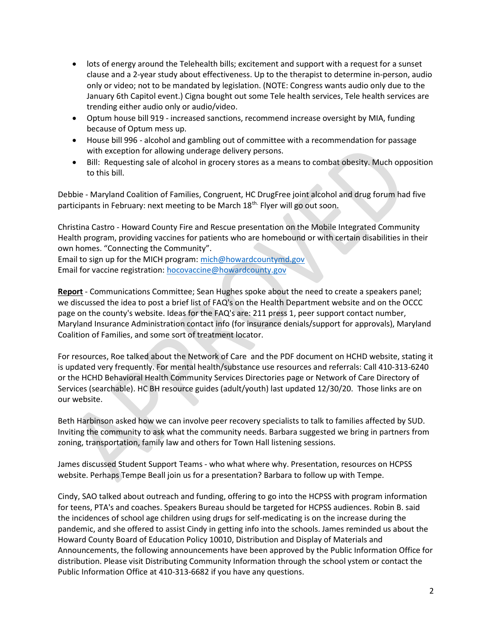- lots of energy around the Telehealth bills; excitement and support with a request for a sunset clause and a 2-year study about effectiveness. Up to the therapist to determine in-person, audio only or video; not to be mandated by legislation. (NOTE: Congress wants audio only due to the January 6th Capitol event.) Cigna bought out some Tele health services, Tele health services are trending either audio only or audio/video.
- Optum house bill 919 increased sanctions, recommend increase oversight by MIA, funding because of Optum mess up.
- House bill 996 alcohol and gambling out of committee with a recommendation for passage with exception for allowing underage delivery persons.
- Bill: Requesting sale of alcohol in grocery stores as a means to combat obesity. Much opposition to this bill.

Debbie - Maryland Coalition of Families, Congruent, HC DrugFree joint alcohol and drug forum had five participants in February: next meeting to be March 18<sup>th.</sup> Flyer will go out soon.

Christina Castro - Howard County Fire and Rescue presentation on the Mobile Integrated Community Health program, providing vaccines for patients who are homebound or with certain disabilities in their own homes. "Connecting the Community".

Email to sign up for the MICH program: mich@howardcountymd.gov Email for vaccine registration: hocovaccine@howardcounty.gov

Report - Communications Committee; Sean Hughes spoke about the need to create a speakers panel; we discussed the idea to post a brief list of FAQ's on the Health Department website and on the OCCC page on the county's website. Ideas for the FAQ's are: 211 press 1, peer support contact number, Maryland Insurance Administration contact info (for insurance denials/support for approvals), Maryland Coalition of Families, and some sort of treatment locator.

For resources, Roe talked about the Network of Care and the PDF document on HCHD website, stating it is updated very frequently. For mental health/substance use resources and referrals: Call 410-313-6240 or the HCHD Behavioral Health Community Services Directories page or Network of Care Directory of Services (searchable). HC BH resource guides (adult/youth) last updated 12/30/20. Those links are on our website.

Beth Harbinson asked how we can involve peer recovery specialists to talk to families affected by SUD. Inviting the community to ask what the community needs. Barbara suggested we bring in partners from zoning, transportation, family law and others for Town Hall listening sessions.

James discussed Student Support Teams - who what where why. Presentation, resources on HCPSS website. Perhaps Tempe Beall join us for a presentation? Barbara to follow up with Tempe.

Cindy, SAO talked about outreach and funding, offering to go into the HCPSS with program information for teens, PTA's and coaches. Speakers Bureau should be targeted for HCPSS audiences. Robin B. said the incidences of school age children using drugs for self-medicating is on the increase during the pandemic, and she offered to assist Cindy in getting info into the schools. James reminded us about the Howard County Board of Education Policy 10010, Distribution and Display of Materials and Announcements, the following announcements have been approved by the Public Information Office for distribution. Please visit Distributing Community Information through the school ystem or contact the Public Information Office at 410-313-6682 if you have any questions.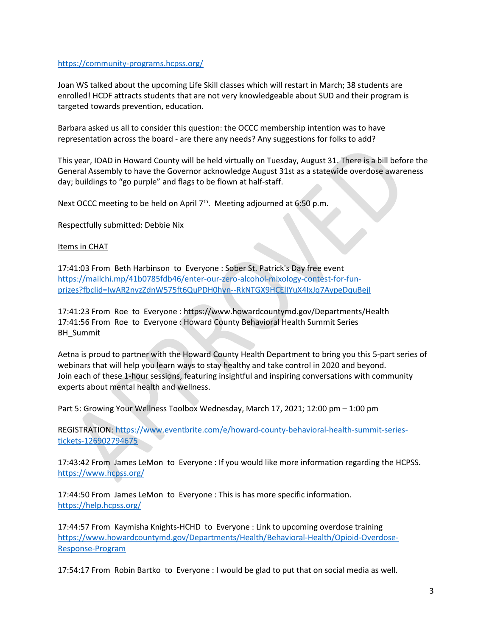## https://community-programs.hcpss.org/

Joan WS talked about the upcoming Life Skill classes which will restart in March; 38 students are enrolled! HCDF attracts students that are not very knowledgeable about SUD and their program is targeted towards prevention, education.

Barbara asked us all to consider this question: the OCCC membership intention was to have representation across the board - are there any needs? Any suggestions for folks to add?

This year, IOAD in Howard County will be held virtually on Tuesday, August 31. There is a bill before the General Assembly to have the Governor acknowledge August 31st as a statewide overdose awareness day; buildings to "go purple" and flags to be flown at half-staff.

Next OCCC meeting to be held on April 7<sup>th</sup>. Meeting adjourned at 6:50 p.m.

Respectfully submitted: Debbie Nix

## Items in CHAT

17:41:03 From Beth Harbinson to Everyone : Sober St. Patrick's Day free event https://mailchi.mp/41b0785fdb46/enter-our-zero-alcohol-mixology-contest-for-funprizes?fbclid=IwAR2nvzZdnW575ft6QuPDH0hyn--RkNTGX9HCElIYuX4IxJq7AypeDquBejI

17:41:23 From Roe to Everyone : https://www.howardcountymd.gov/Departments/Health 17:41:56 From Roe to Everyone : Howard County Behavioral Health Summit Series BH\_Summit

Aetna is proud to partner with the Howard County Health Department to bring you this 5-part series of webinars that will help you learn ways to stay healthy and take control in 2020 and beyond. Join each of these 1-hour sessions, featuring insightful and inspiring conversations with community experts about mental health and wellness.

Part 5: Growing Your Wellness Toolbox Wednesday, March 17, 2021; 12:00 pm – 1:00 pm

REGISTRATION: https://www.eventbrite.com/e/howard-county-behavioral-health-summit-seriestickets-126902794675

17:43:42 From James LeMon to Everyone : If you would like more information regarding the HCPSS. https://www.hcpss.org/

17:44:50 From James LeMon to Everyone : This is has more specific information. https://help.hcpss.org/

17:44:57 From Kaymisha Knights-HCHD to Everyone : Link to upcoming overdose training https://www.howardcountymd.gov/Departments/Health/Behavioral-Health/Opioid-Overdose-Response-Program

17:54:17 From Robin Bartko to Everyone : I would be glad to put that on social media as well.